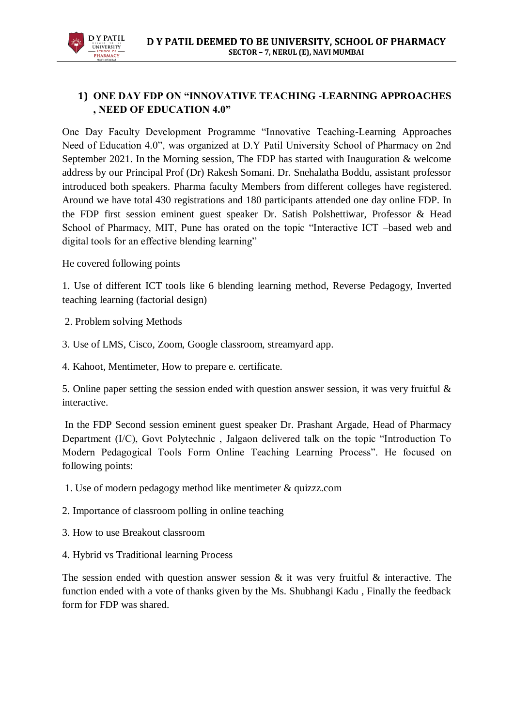

## **1) ONE DAY FDP ON "INNOVATIVE TEACHING -LEARNING APPROACHES , NEED OF EDUCATION 4.0"**

One Day Faculty Development Programme "Innovative Teaching-Learning Approaches Need of Education 4.0", was organized at D.Y Patil University School of Pharmacy on 2nd September 2021. In the Morning session, The FDP has started with Inauguration & welcome address by our Principal Prof (Dr) Rakesh Somani. Dr. Snehalatha Boddu, assistant professor introduced both speakers. Pharma faculty Members from different colleges have registered. Around we have total 430 registrations and 180 participants attended one day online FDP. In the FDP first session eminent guest speaker Dr. Satish Polshettiwar, Professor & Head School of Pharmacy, MIT, Pune has orated on the topic "Interactive ICT –based web and digital tools for an effective blending learning"

He covered following points

1. Use of different ICT tools like 6 blending learning method, Reverse Pedagogy, Inverted teaching learning (factorial design)

- 2. Problem solving Methods
- 3. Use of LMS, Cisco, Zoom, Google classroom, streamyard app.
- 4. Kahoot, Mentimeter, How to prepare e. certificate.

5. Online paper setting the session ended with question answer session, it was very fruitful & interactive.

In the FDP Second session eminent guest speaker Dr. Prashant Argade, Head of Pharmacy Department (I/C), Govt Polytechnic , Jalgaon delivered talk on the topic "Introduction To Modern Pedagogical Tools Form Online Teaching Learning Process". He focused on following points:

- 1. Use of modern pedagogy method like mentimeter & quizzz.com
- 2. Importance of classroom polling in online teaching
- 3. How to use Breakout classroom
- 4. Hybrid vs Traditional learning Process

The session ended with question answer session  $\&$  it was very fruitful  $\&$  interactive. The function ended with a vote of thanks given by the Ms. Shubhangi Kadu , Finally the feedback form for FDP was shared.